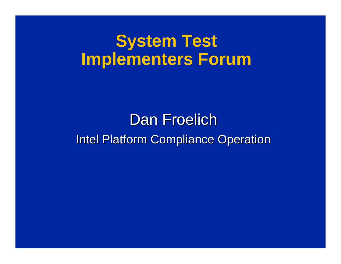#### **System Test Implementers Forum**

#### Dan Froelich Intel Platform Compliance Operation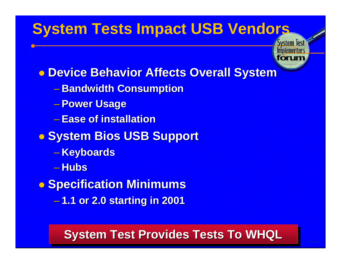#### **System Tests Impact USB Vendors**

**System Test Implementer** 

**o Device Behavior Affects Overall System** 

- **Bandwidth Consumption**
- **Power Usage**
- **Ease of installation**
- **C** System Bios USB Support
	- **Keyboards**
	- **Hubs**
- **Specification Minimums** 
	- **1.1 or 2.0 starting in 2001**

#### **System Test Provides Tests To WHQL**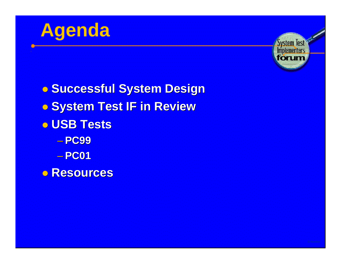



**. Successful System Design . System Test IF in Review** l **USB Tests** – **PC99** – **PC01 o** Resources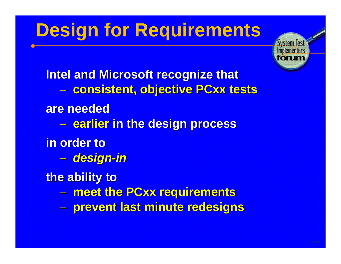## **Design for Requirements**



**Intel and Microsoft recognize that** – **consistent, objective PCxx tests are needed** – **earlier in the design process in order to** – *design-in* **the ability to** – **meet the PCxx requirements** – **prevent last minute redesigns**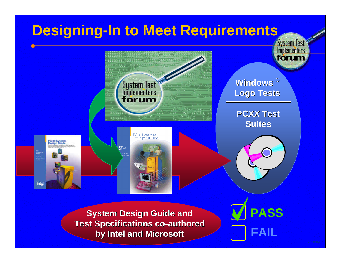#### **Designing-In to Meet Requirements System Test Implementers** forum System Test **Windows** ® **Logo Tests** forum **PCXX Test Suites** PC 99 Hardware Test Specification E **Intel PASS System Design Guide and Test Specifications co-authored FAIL by Intel and Microsoft**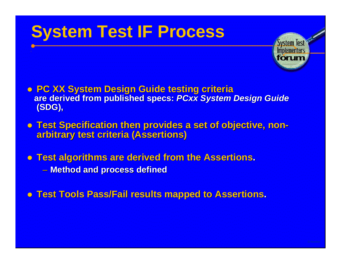## **System Test IF Process**



- **. PC XX System Design Guide testing criteria are derived from published specs:** *PCxx System Design Guide* **(SDG),**
- **Test Specification then provides a set of objective, nonarbitrary test criteria (Assertions)**
- **Test algorithms are derived from the Assertions.** – **Method and process defined**
- $\bullet$  **Test Tools Pass/Fail results mapped to Assertions.**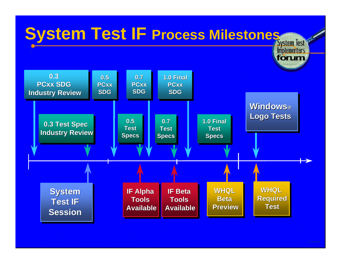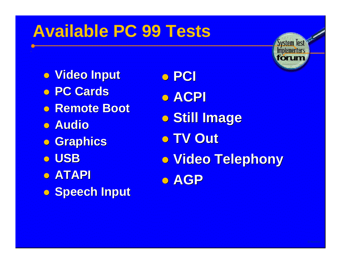## **Available PC 99 Tests**

- **. Video Input**
- l **PC Cards**
- **Remote Boot**
- **. Audio**
- **o** Graphics
- l **USB**
- **b** ATAPI
- **. Speech Input**

l **PCI** l **ACPI o Still Image** l **TV Out . Video Telephony b**  $AGP$ 



**System Test Implementers** fonm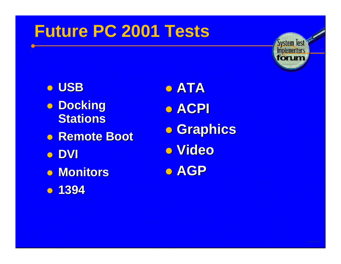### **Future PC 2001 Tests**



**o** USB **.** Docking **Stations • Remote Boot l** DVI  $\bullet$  **Monitors c** 1394

l **ATA** l **ACPI Craphics** l **Video** l **AGP**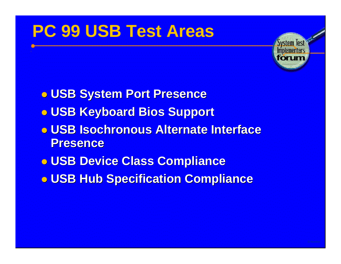## **PC 99 USB Test Areas**



- $\bullet$  **USB System Port Presence**  $\bullet$  **USB Keyboard Bios Support**  $\bullet$  **USB Isochronous Alternate Interface Presence**  $\bullet$  **USB Device Class Compliance**
- $\bullet$  **USB Hub Specification Compliance**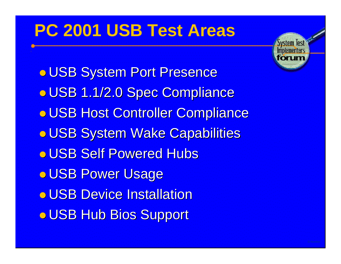### **PC 2001 USB Test Areas**



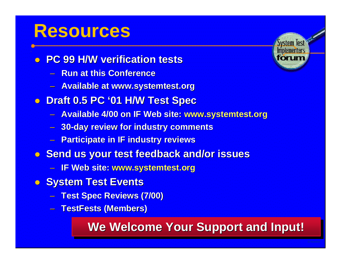### **Resources**

- **PC 99 H/W verification tests** 
	- **Run at this Conference**
	- **Available at www.systemtest.org**
- **Draft 0.5 PC '01 H/W Test Spec** 
	- **Available 4/00 on IF Web site: www.systemtest.org**
	- **30-day review for industry comments**
	- **Participate in IF industry reviews**
- **. Send us your test feedback and/or issues** 
	- **IF Web site: www.systemtest.org**
- **C** System Test Events
	- **Test Spec Reviews (7/00)**
	- **TestFests (Members)**

#### **We Welcome Your Support and Input!**

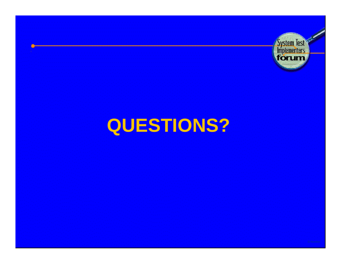

# **QUESTIONS?**